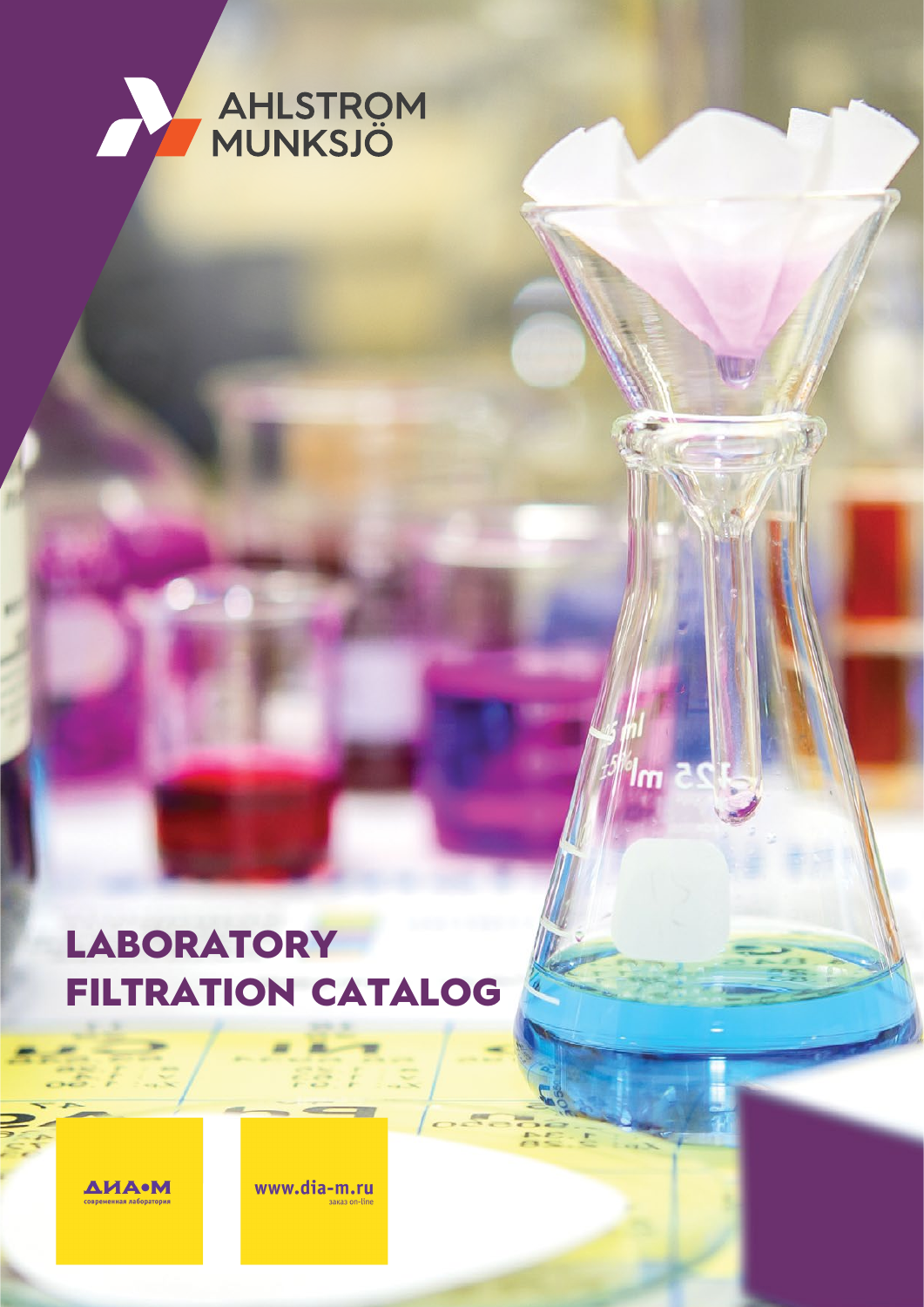

### **LABORATORY** FILTRATION CATALOG

 $25m$ 

**ДИА•М** 

www.dia-m.ru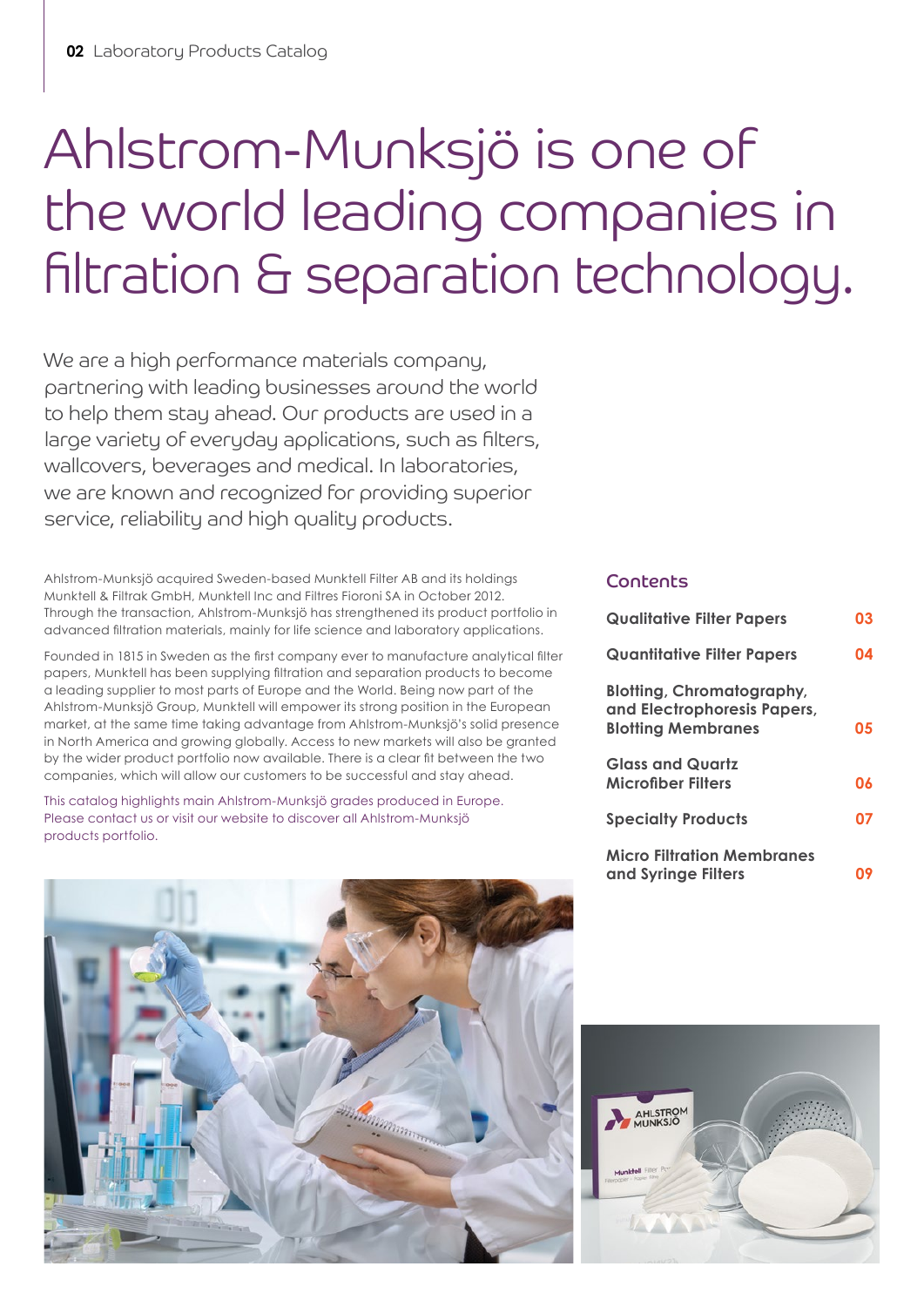## Ahlstrom-Munksjö is one of the world leading companies in filtration & separation technology.

We are a high performance materials company, partnering with leading businesses around the world to help them stay ahead. Our products are used in a large variety of everyday applications, such as filters, wallcovers, beverages and medical. In laboratories, we are known and recognized for providing superior service, reliability and high quality products.

Ahlstrom-Munksjö acquired Sweden-based Munktell Filter AB and its holdings Munktell & Filtrak GmbH, Munktell Inc and Filtres Fioroni SA in October 2012. Through the transaction, Ahlstrom-Munksjö has strengthened its product portfolio in advanced filtration materials, mainly for life science and laboratory applications.

Founded in 1815 in Sweden as the first company ever to manufacture analytical filter papers, Munktell has been supplying filtration and separation products to become a leading supplier to most parts of Europe and the World. Being now part of the Ahlstrom-Munksjö Group, Munktell will empower its strong position in the European market, at the same time taking advantage from Ahlstrom-Munksjö's solid presence in North America and growing globally. Access to new markets will also be granted by the wider product portfolio now available. There is a clear fit between the two companies, which will allow our customers to be successful and stay ahead.

This catalog highlights main Ahlstrom-Munksjö grades produced in Europe. Please contact us or visit our website to discover all Ahlstrom-Munksjö products portfolio.

#### Contents

| <b>Qualitative Filter Papers</b>                                                             | 03 |
|----------------------------------------------------------------------------------------------|----|
| <b>Quantitative Filter Papers</b>                                                            | 04 |
| <b>Blotting, Chromatography,</b><br>and Electrophoresis Papers,<br><b>Blotting Membranes</b> | 05 |
| <b>Glass and Quartz</b><br><b>Microfiber Filters</b>                                         | 06 |
| <b>Specialty Products</b>                                                                    | 07 |
| <b>Micro Filtration Membranes</b><br>and Syringe Filters                                     |    |



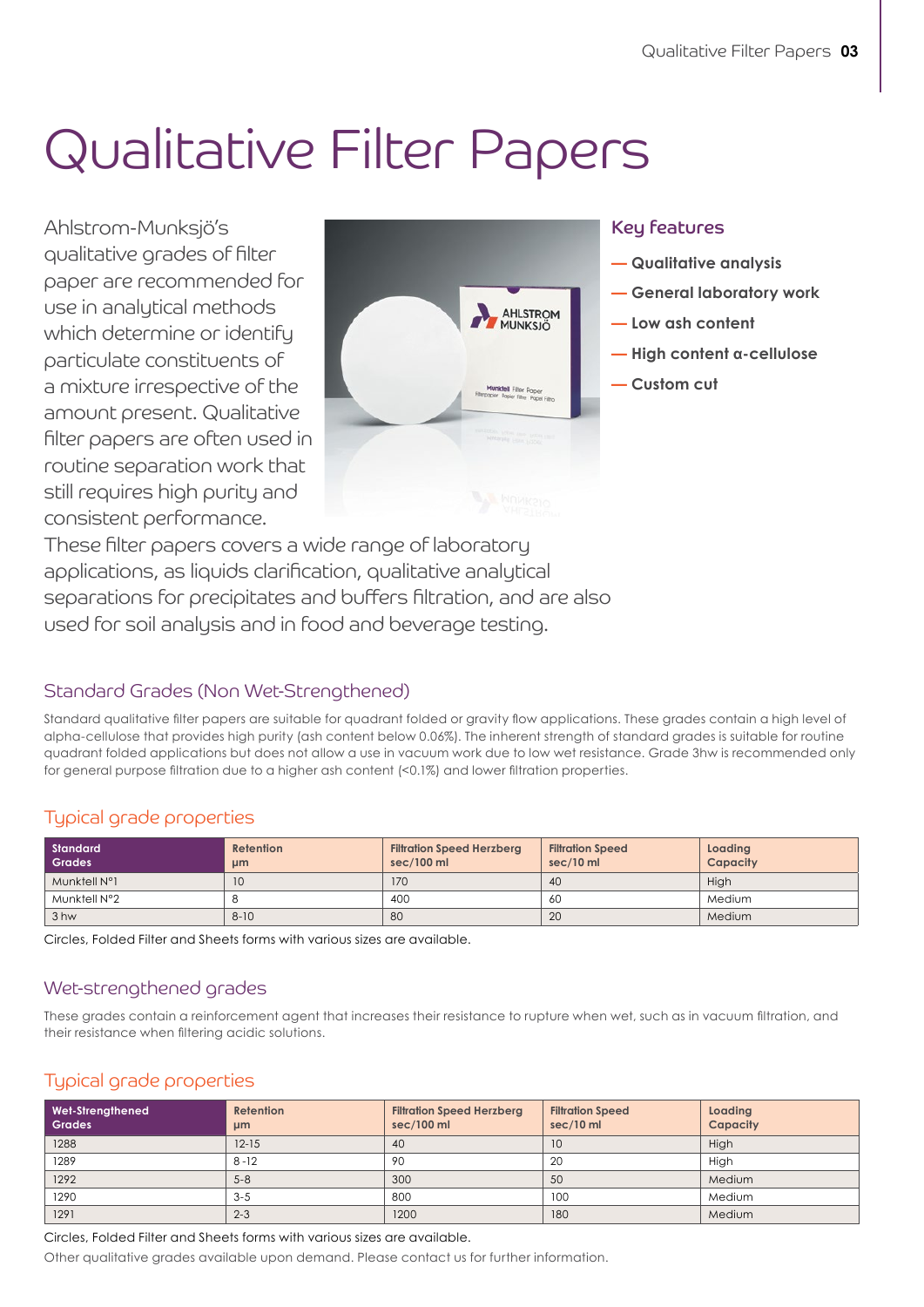### Qualitative Filter Papers

Ahlstrom-Munksjö's qualitative grades of filter paper are recommended for use in analytical methods which determine or identify particulate constituents of a mixture irrespective of the amount present. Qualitative filter papers are often used in routine separation work that still requires high purity and consistent performance.



#### Key features

- **— Qualitative analysis**
- **General laboratory work**
- **Low ash content**
- **High content α-cellulose**
- **Custom cut**

These filter papers covers a wide range of laboratory applications, as liquids clarification, qualitative analytical separations for precipitates and buffers filtration, and are also used for soil analysis and in food and beverage testing.

#### Standard Grades (Non Wet-Strengthened)

Standard qualitative filter papers are suitable for quadrant folded or gravity flow applications. These grades contain a high level of alpha-cellulose that provides high purity (ash content below 0.06%). The inherent strength of standard grades is suitable for routine quadrant folded applications but does not allow a use in vacuum work due to low wet resistance. Grade 3hw is recommended only for general purpose filtration due to a higher ash content (<0.1%) and lower filtration properties.

#### Typical grade properties

| Standard<br><b>Grades</b> | Retention<br>µm | <b>Filtration Speed Herzberg</b><br>sec/100 ml | <b>Filtration Speed</b><br>$sec/10$ ml | Loading<br>Capacity |
|---------------------------|-----------------|------------------------------------------------|----------------------------------------|---------------------|
| Munktell N°1              | 10              | 170                                            | 40                                     | High                |
| Munktell N°2              |                 | 400                                            | 60                                     | Medium              |
| 3 hw                      | $8 - 10$        | 80                                             | 20                                     | Medium              |

Circles, Folded Filter and Sheets forms with various sizes are available.

#### Wet-strengthened grades

These grades contain a reinforcement agent that increases their resistance to rupture when wet, such as in vacuum filtration, and their resistance when filtering acidic solutions.

### Typical grade properties

| Wet-Strengthened<br>Grades | Retention<br>µm | <b>Filtration Speed Herzberg</b><br>sec/100 ml | <b>Filtration Speed</b><br>sec/10 ml | Loading<br>Capacity |
|----------------------------|-----------------|------------------------------------------------|--------------------------------------|---------------------|
| 1288                       | $12-15$         | 40                                             | 10                                   | High                |
| 1289                       | $8 - 12$        | 90                                             | -20                                  | High                |
| 1292                       | $5 - 8$         | 300                                            | 50                                   | Medium              |
| 1290                       | $3 - 5$         | 800                                            | 100                                  | Medium              |
| 1291                       | $2 - 3$         | 1200                                           | 180                                  | Medium              |

Circles, Folded Filter and Sheets forms with various sizes are available.

Other qualitative grades available upon demand. Please contact us for further information.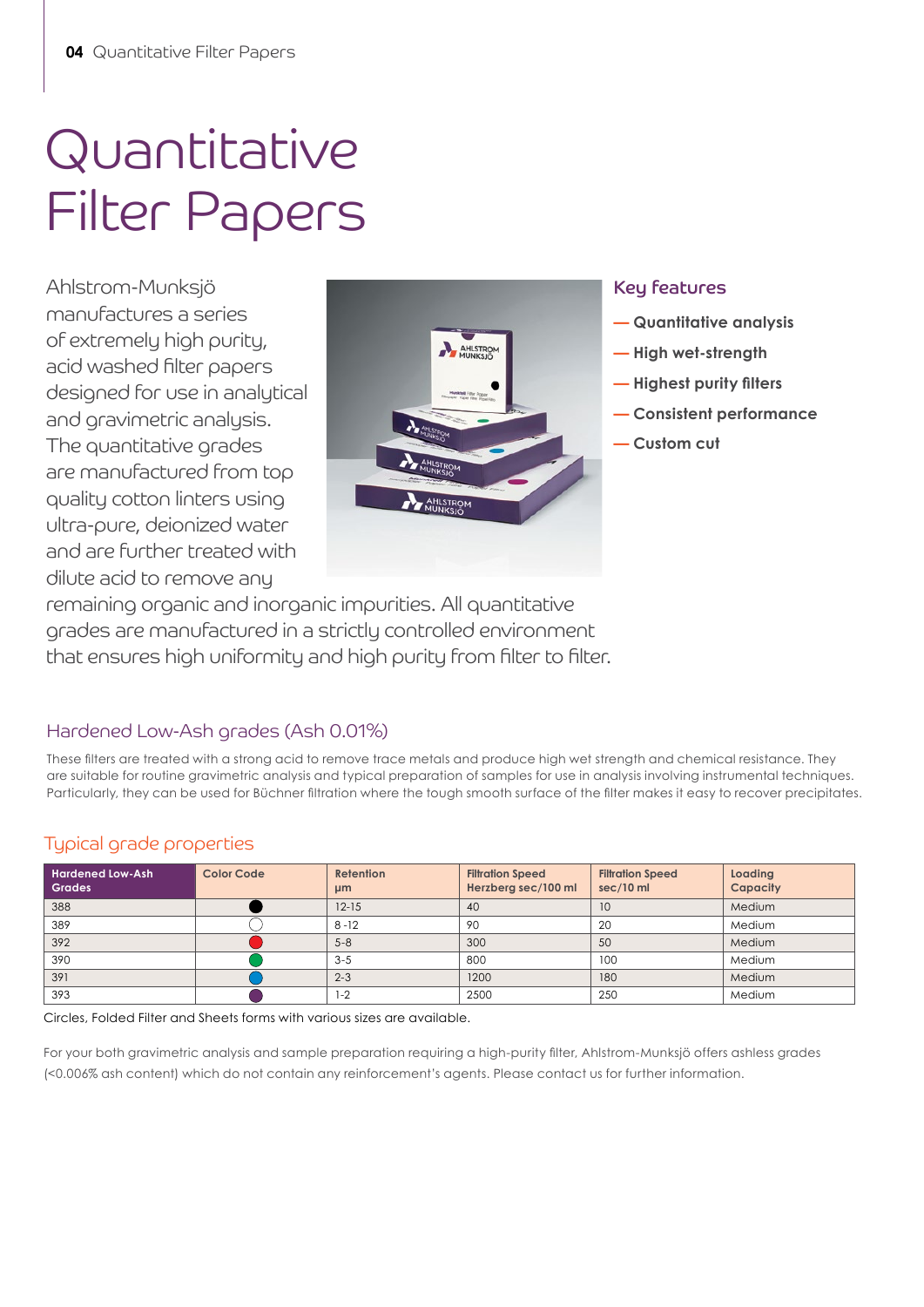## Quantitative Filter Papers

Ahlstrom-Munksjö manufactures a series of extremely high purity, acid washed filter papers designed for use in analytical and gravimetric analysis. The quantitative grades are manufactured from top quality cotton linters using ultra-pure, deionized water and are further treated with dilute acid to remove any



#### Key features

- **— Quantitative analysis**
- **High wet-strength**
- **— Highest purity filters**
- **Consistent performance**
- **Custom cut**

remaining organic and inorganic impurities. All quantitative grades are manufactured in a strictly controlled environment that ensures high uniformity and high purity from filter to filter.

### Hardened Low-Ash grades (Ash 0.01%)

These filters are treated with a strong acid to remove trace metals and produce high wet strength and chemical resistance. They are suitable for routine gravimetric analysis and typical preparation of samples for use in analysis involving instrumental techniques. Particularly, they can be used for Büchner filtration where the tough smooth surface of the filter makes it easy to recover precipitates.

### Typical grade properties

| <b>Hardened Low-Ash</b><br><b>Grades</b> | <b>Color Code</b> | <b>Retention</b><br>µm | <b>Filtration Speed</b><br>Herzberg sec/100 ml | <b>Filtration Speed</b><br>sec/10 ml | Loading<br>Capacity |
|------------------------------------------|-------------------|------------------------|------------------------------------------------|--------------------------------------|---------------------|
| 388                                      |                   | $12 - 15$              | 40                                             | 10                                   | Medium              |
| 389                                      |                   | $8 - 12$               | 90                                             | 20                                   | Medium              |
| 392                                      |                   | $5 - 8$                | 300                                            | 50                                   | Medium              |
| 390                                      |                   | $3 - 5$                | 800                                            | 100                                  | Medium              |
| 391                                      |                   | $2 - 3$                | 1200                                           | 180                                  | Medium              |
| 393                                      |                   | $1 - 2$                | 2500                                           | 250                                  | Medium              |

Circles, Folded Filter and Sheets forms with various sizes are available.

For your both gravimetric analysis and sample preparation requiring a high-purity filter, Ahlstrom-Munksjö offers ashless grades (<0.006% ash content) which do not contain any reinforcement's agents. Please contact us for further information.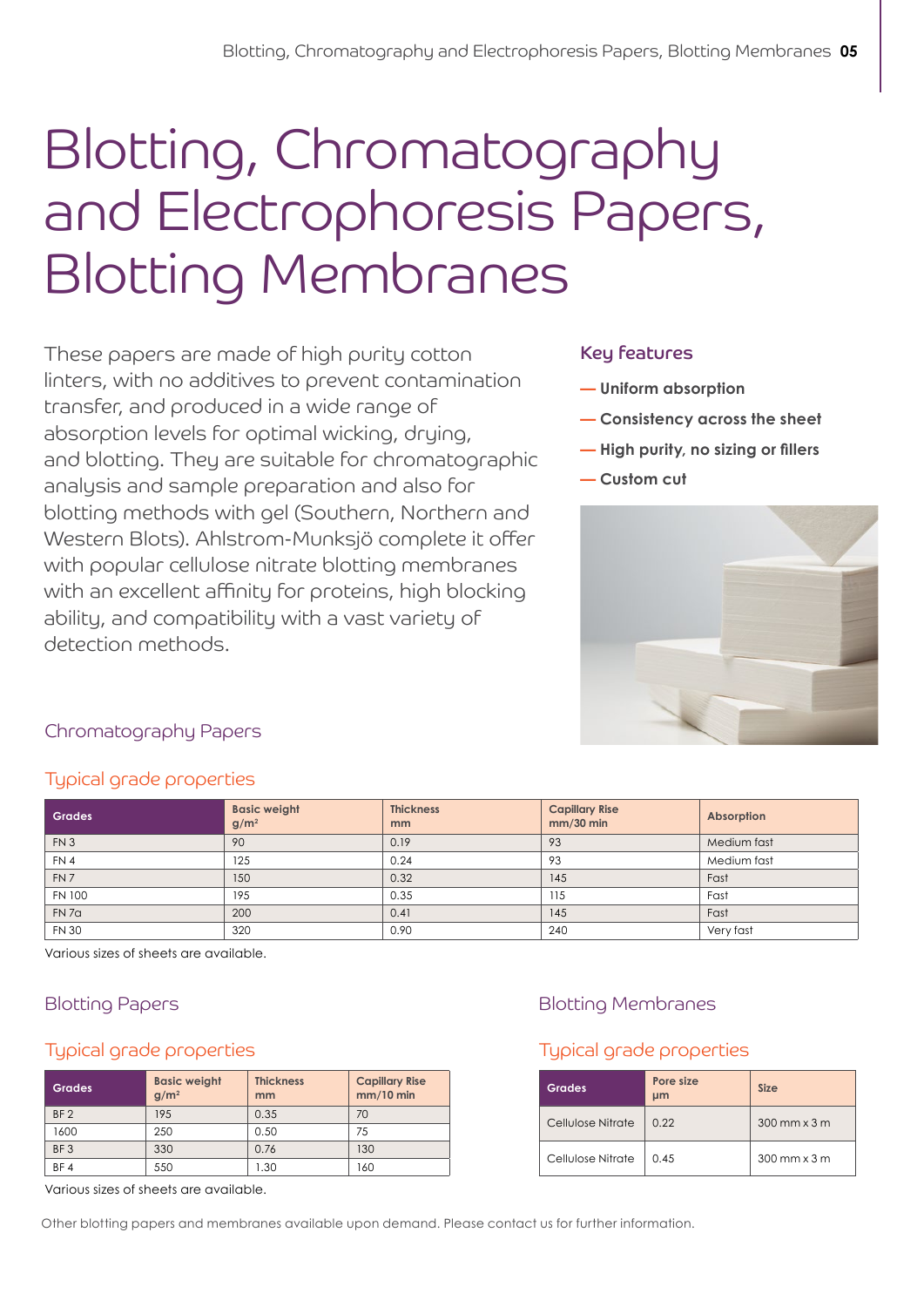## Blotting, Chromatography and Electrophoresis Papers, Blotting Membranes

These papers are made of high purity cotton linters, with no additives to prevent contamination transfer, and produced in a wide range of absorption levels for optimal wicking, drying, and blotting. They are suitable for chromatographic analysis and sample preparation and also for blotting methods with gel (Southern, Northern and Western Blots). Ahlstrom-Munksjö complete it offer with popular cellulose nitrate blotting membranes with an excellent affinity for proteins, high blocking ability, and compatibility with a vast variety of detection methods.

#### Key features

- **— Uniform absorption**
- **Consistency across the sheet**
- **— High purity, no sizing or fillers**
- **Custom cut**



#### Chromatography Papers

#### Typical grade properties

| <b>Grades</b>     | <b>Basic weight</b><br>$g/m^2$ | <b>Thickness</b><br>mm | <b>Capillary Rise</b><br>mm/30 min | Absorption  |
|-------------------|--------------------------------|------------------------|------------------------------------|-------------|
| FN3               | 90                             | 0.19                   | 93                                 | Medium fast |
| FN 4              | 125                            | 0.24                   | 93                                 | Medium fast |
| FN <sub>7</sub>   | 150                            | 0.32                   | 145                                | Fast        |
| <b>FN 100</b>     | 195                            | 0.35                   | 115                                | Fast        |
| FN 7 <sub>a</sub> | 200                            | 0.41                   | 145                                | Fast        |
| <b>FN 30</b>      | 320                            | 0.90                   | 240                                | Very fast   |

Various sizes of sheets are available.

#### Typical grade properties

| <b>Grades</b>   | <b>Basic weight</b><br>g/m <sup>2</sup> | <b>Thickness</b><br>mm | <b>Capillary Rise</b><br>$mm/10$ min |
|-----------------|-----------------------------------------|------------------------|--------------------------------------|
| BF <sub>2</sub> | 195                                     | 0.35                   | 70                                   |
| 1600            | 250                                     | 0.50                   | 75                                   |
| BF <sub>3</sub> | 330                                     | 0.76                   | 130                                  |
| BF4             | 550                                     | 1.30                   | 160                                  |

### Blotting Papers Blotting Membranes

### Typical grade properties

| <b>Grades</b>     | Pore size<br>µm | <b>Size</b>           |
|-------------------|-----------------|-----------------------|
| Cellulose Nitrate | 0.22            | $300$ mm $\times$ 3 m |
| Cellulose Nitrate | 0.45            | $300$ mm $\times$ 3 m |

Various sizes of sheets are available.

Other blotting papers and membranes available upon demand. Please contact us for further information.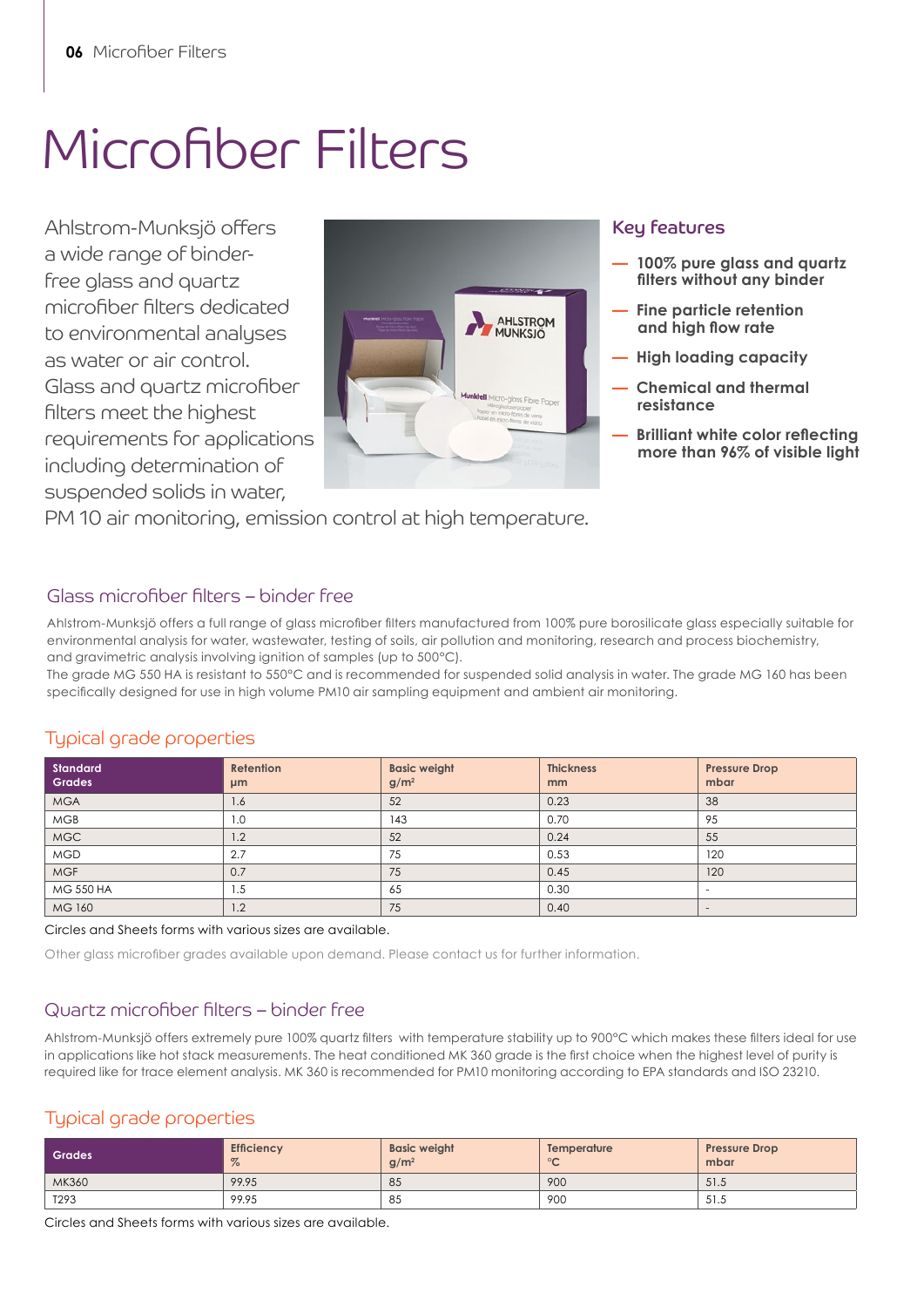### Microfiber Filters

Ahlstrom-Munksjö offers a wide range of binderfree glass and quartz microfiber filters dedicated to environmental analyses as water or air control. Glass and quartz microfiber filters meet the highest requirements for applications including determination of suspended solids in water,



#### Key features

- **100% pure glass and quartz filters without any binder**
- **Fine particle retention and high flow rate**
- **High loading capacity**
- **Chemical and thermal resistance**
- **— Brilliant white color reflecting more than 96% of visible light**

PM 10 air monitoring, emission control at high temperature.

#### Glass microfiber filters – binder free

Ahlstrom-Munksjö offers a full range of glass microfiber filters manufactured from 100% pure borosilicate glass especially suitable for environmental analysis for water, wastewater, testing of soils, air pollution and monitoring, research and process biochemistry, and gravimetric analysis involving ignition of samples (up to 500°C).

The grade MG 550 HA is resistant to 550°C and is recommended for suspended solid analysis in water. The grade MG 160 has been specifically designed for use in high volume PM10 air sampling equipment and ambient air monitoring.

#### Typical grade properties

| <b>Standard</b><br><b>Grades</b> | Retention<br>µm | <b>Basic weight</b><br>$g/m^2$ | <b>Thickness</b><br>mm | <b>Pressure Drop</b><br>mbar |
|----------------------------------|-----------------|--------------------------------|------------------------|------------------------------|
| <b>MGA</b>                       | 1.6             | 52                             | 0.23                   | 38                           |
| <b>MGB</b>                       | 1.0             | 143                            | 0.70                   | 95                           |
| <b>MGC</b>                       | 1.2             | 52                             | 0.24                   | 55                           |
| <b>MGD</b>                       | 2.7             | 75                             | 0.53                   | 120                          |
| <b>MGF</b>                       | 0.7             | 75                             | 0.45                   | 120                          |
| <b>MG 550 HA</b>                 | 1.5             | 65                             | 0.30                   | $\overline{\phantom{a}}$     |
| <b>MG 160</b>                    | 1.2             | 75                             | 0.40                   | $\overline{\phantom{a}}$     |

Circles and Sheets forms with various sizes are available.

Other glass microfiber grades available upon demand. Please contact us for further information.

#### Quartz microfiber filters – binder free

Ahlstrom-Munksjö offers extremely pure 100% quartz filters with temperature stability up to 900°C which makes these filters ideal for use in applications like hot stack measurements. The heat conditioned MK 360 grade is the first choice when the highest level of purity is required like for trace element analysis. MK 360 is recommended for PM10 monitoring according to EPA standards and ISO 23210.

#### Typical grade properties

| Grades | <b>Efficiency</b><br>$\%$ | <b>Basic weight</b><br>$g/m^2$ | Temperature<br>$\sim$<br>$\overline{\phantom{0}}$ | <b>Pressure Drop</b><br>mbar |
|--------|---------------------------|--------------------------------|---------------------------------------------------|------------------------------|
| MK360  | 99.95                     | 85                             | 900                                               | 51.5                         |
| T293   | 99.95                     | 85                             | 900                                               | 51.5                         |

Circles and Sheets forms with various sizes are available.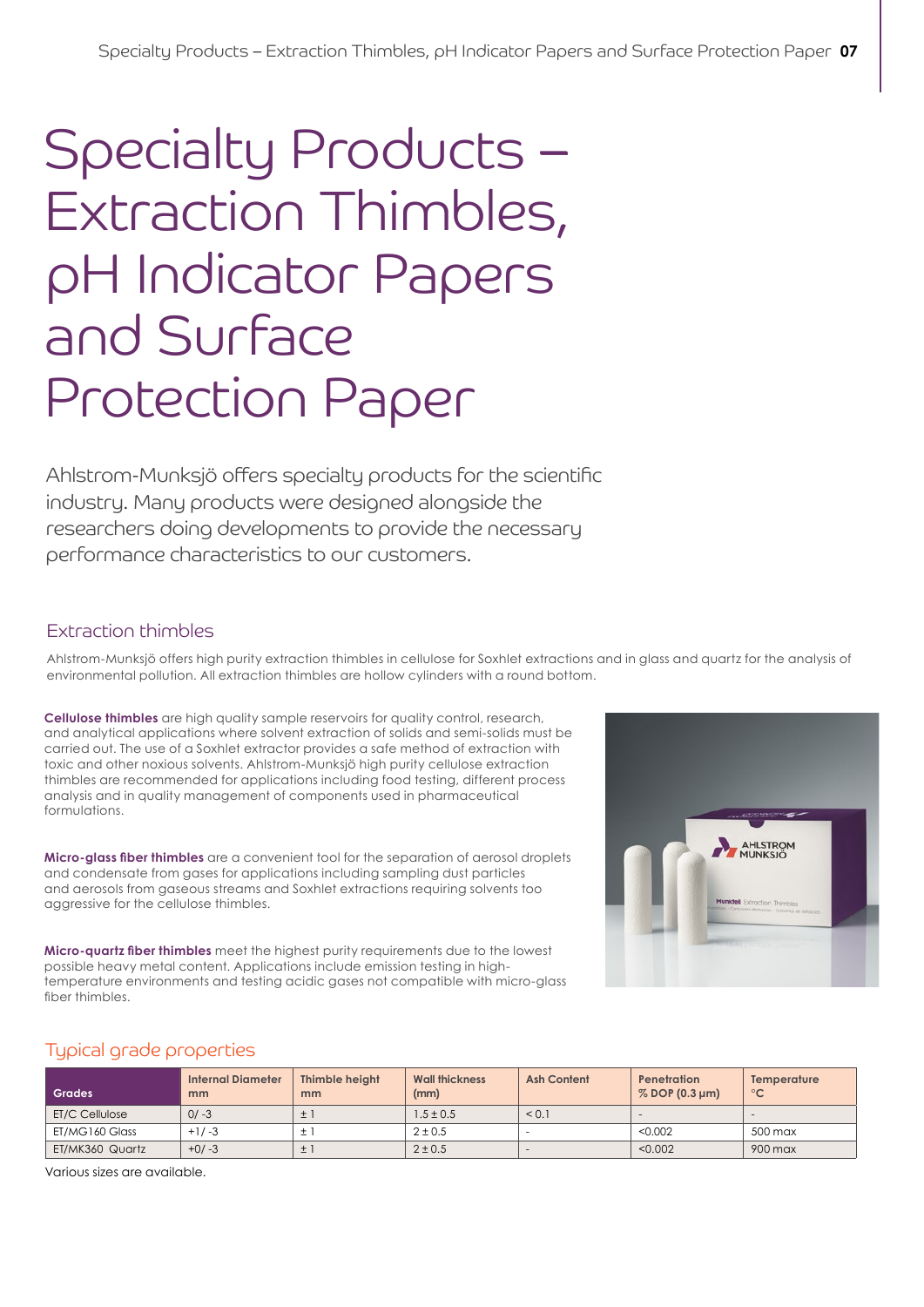### Specialty Products – Extraction Thimbles, pH Indicator Papers and Surface Protection Paper

Ahlstrom-Munksjö offers specialty products for the scientific industry. Many products were designed alongside the researchers doing developments to provide the necessary performance characteristics to our customers.

#### Extraction thimbles

Ahlstrom-Munksjö offers high purity extraction thimbles in cellulose for Soxhlet extractions and in glass and quartz for the analysis of environmental pollution. All extraction thimbles are hollow cylinders with a round bottom.

**Cellulose thimbles** are high quality sample reservoirs for quality control, research, and analytical applications where solvent extraction of solids and semi-solids must be carried out. The use of a Soxhlet extractor provides a safe method of extraction with toxic and other noxious solvents. Ahlstrom-Munksjö high purity cellulose extraction thimbles are recommended for applications including food testing, different process analysis and in quality management of components used in pharmaceutical formulations.

**Micro-glass fiber thimbles** are a convenient tool for the separation of aerosol droplets and condensate from gases for applications including sampling dust particles and aerosols from gaseous streams and Soxhlet extractions requiring solvents too aggressive for the cellulose thimbles.

**Micro-quartz fiber thimbles** meet the highest purity requirements due to the lowest possible heavy metal content. Applications include emission testing in hightemperature environments and testing acidic gases not compatible with micro-glass fiber thimbles.



#### Typical grade properties

| Grades          | <b>Internal Diameter</b><br>mm | Thimble height<br>mm | <b>Wall thickness</b><br>(mm) | <b>Ash Content</b> | <b>Penetration</b><br>% DOP (0.3 µm) | Temperature<br>$^{\circ}$ C |
|-----------------|--------------------------------|----------------------|-------------------------------|--------------------|--------------------------------------|-----------------------------|
| ET/C Cellulose  | $0/-3$                         | $\pm$ 1              | $1.5 \pm 0.5$                 | < 0.1              | $\sim$                               | $\overline{\phantom{a}}$    |
| ET/MG160 Glass  | $+1/-3$                        | ±.                   | $2 \pm 0.5$                   |                    | < 0.002                              | 500 max                     |
| ET/MK360 Quartz | $+0/-3$                        | $\pm$ 1              | $2 \pm 0.5$                   | $\sim$             | < 0.002                              | 900 max                     |

Various sizes are available.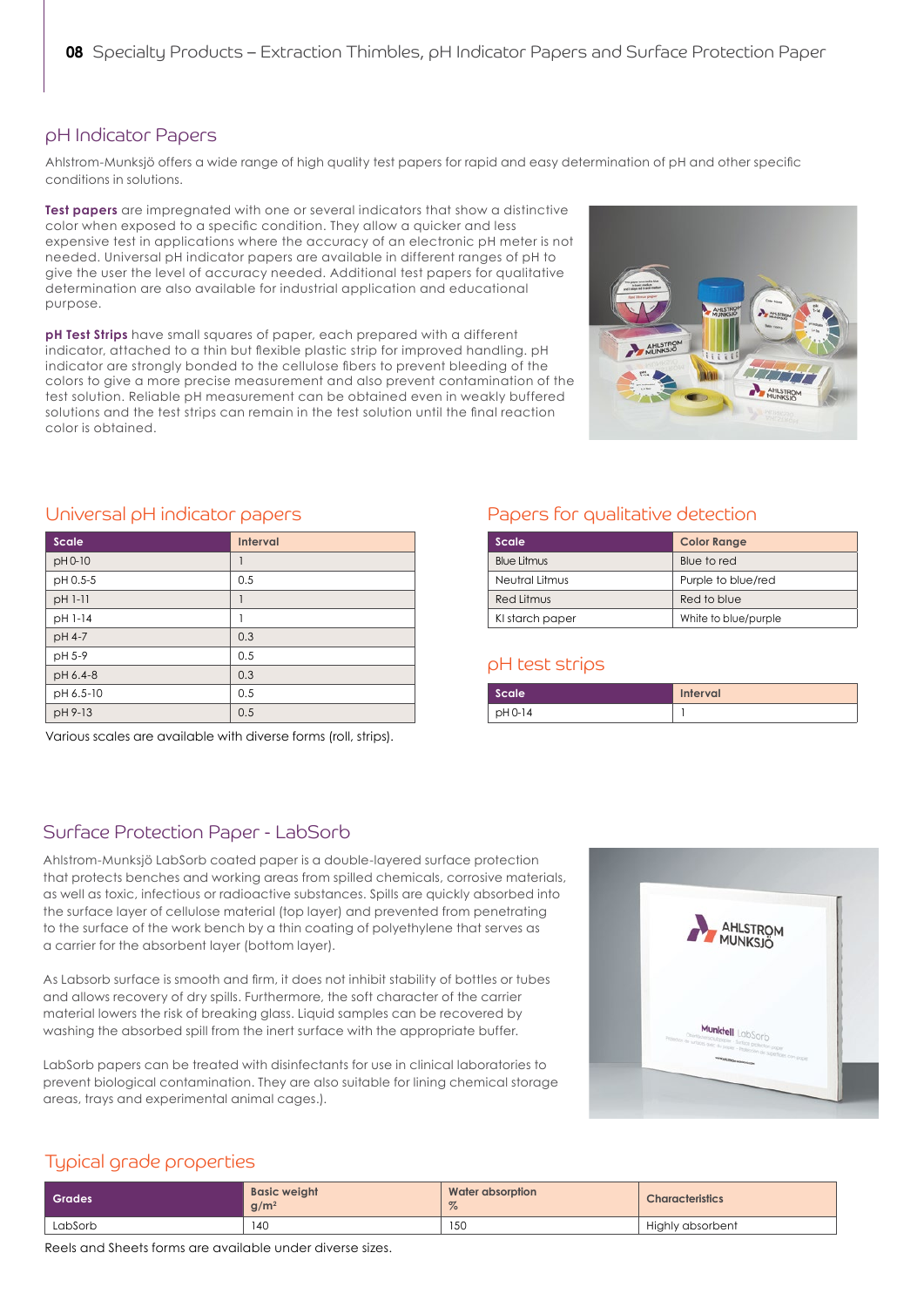#### pH Indicator Papers

Ahlstrom-Munksjö offers a wide range of high quality test papers for rapid and easy determination of pH and other specific conditions in solutions.

**Test papers** are impregnated with one or several indicators that show a distinctive color when exposed to a specific condition. They allow a quicker and less expensive test in applications where the accuracy of an electronic pH meter is not needed. Universal pH indicator papers are available in different ranges of pH to give the user the level of accuracy needed. Additional test papers for qualitative determination are also available for industrial application and educational purpose.

**pH Test Strips** have small squares of paper, each prepared with a different indicator, attached to a thin but flexible plastic strip for improved handling. pH indicator are strongly bonded to the cellulose fibers to prevent bleeding of the colors to give a more precise measurement and also prevent contamination of the test solution. Reliable pH measurement can be obtained even in weakly buffered solutions and the test strips can remain in the test solution until the final reaction color is obtained.



#### Universal pH indicator papers

| Scale     | <b>Interval</b> |
|-----------|-----------------|
| pH 0-10   |                 |
| pH 0.5-5  | 0.5             |
| pH 1-11   | 1               |
| pH 1-14   | 1               |
| pH 4-7    | 0.3             |
| pH 5-9    | 0.5             |
| pH 6.4-8  | 0.3             |
| pH 6.5-10 | 0.5             |
| pH 9-13   | 0.5             |

Various scales are available with diverse forms (roll, strips).

#### Papers for qualitative detection

| Scale              | <b>Color Range</b>   |
|--------------------|----------------------|
| <b>Blue Litmus</b> | Blue to red          |
| Neutral Litmus     | Purple to blue/red   |
| Red Litmus         | Red to blue          |
| KI starch paper    | White to blue/purple |

#### pH test strips

| Scale   | <b>Interval</b> |
|---------|-----------------|
| pH 0-14 |                 |

#### Surface Protection Paper - LabSorb

Ahlstrom-Munksjö LabSorb coated paper is a double-layered surface protection that protects benches and working areas from spilled chemicals, corrosive materials, as well as toxic, infectious or radioactive substances. Spills are quickly absorbed into the surface layer of cellulose material (top layer) and prevented from penetrating to the surface of the work bench by a thin coating of polyethylene that serves as a carrier for the absorbent layer (bottom layer).

As Labsorb surface is smooth and firm, it does not inhibit stability of bottles or tubes and allows recovery of dry spills. Furthermore, the soft character of the carrier material lowers the risk of breaking glass. Liquid samples can be recovered by washing the absorbed spill from the inert surface with the appropriate buffer.

LabSorb papers can be treated with disinfectants for use in clinical laboratories to prevent biological contamination. They are also suitable for lining chemical storage areas, trays and experimental animal cages.).



#### Typical grade properties

| Grades  | <b>Basic weight</b><br>q/m <sup>2</sup> | Water absorption<br>$\%$ | <b>Characteristics</b> |
|---------|-----------------------------------------|--------------------------|------------------------|
| LabSorb | 14C                                     | 150                      | Highly absorbent       |

Reels and Sheets forms are available under diverse sizes.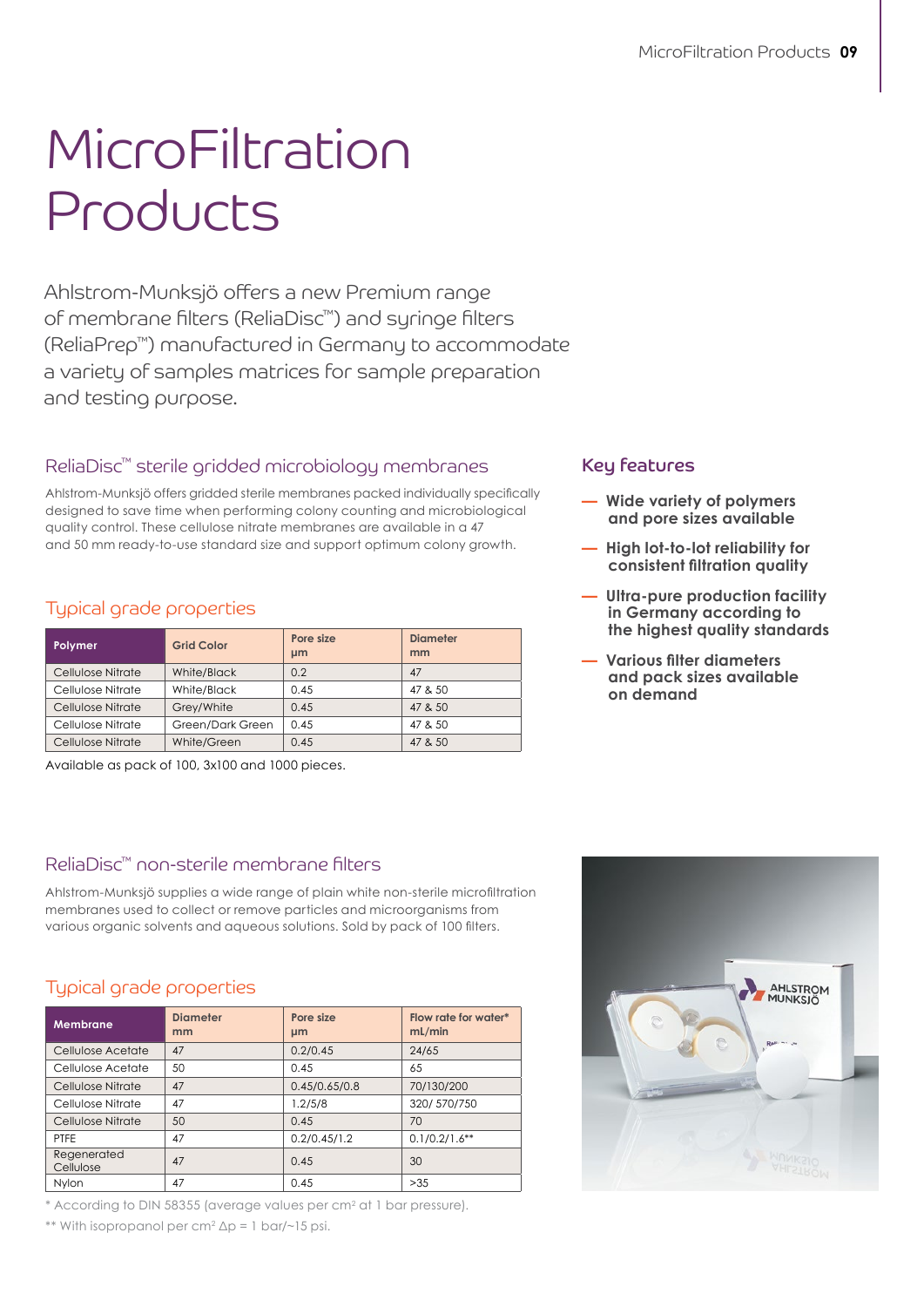# MicroFiltration Products

Ahlstrom-Munksjö offers a new Premium range of membrane filters (ReliaDisc™) and syringe filters (ReliaPrep™) manufactured in Germany to accommodate a variety of samples matrices for sample preparation and testing purpose.

### ReliaDisc™ sterile gridded microbiology membranes

Ahlstrom-Munksjö offers gridded sterile membranes packed individually specifically designed to save time when performing colony counting and microbiological quality control. These cellulose nitrate membranes are available in a 47 and 50 mm ready-to-use standard size and support optimum colony growth.

#### Typical grade properties

| Polymer           | <b>Grid Color</b> | Pore size<br>µm | <b>Diameter</b><br>mm |
|-------------------|-------------------|-----------------|-----------------------|
| Cellulose Nitrate | White/Black       | 0.2             | 47                    |
| Cellulose Nitrate | White/Black       | 0.45            | 47 & 50               |
| Cellulose Nitrate | Grey/White        | 0.45            | 47 & 50               |
| Cellulose Nitrate | Green/Dark Green  | 0.45            | 47 & 50               |
| Cellulose Nitrate | White/Green       | 0.45            | 47 & 50               |

Available as pack of 100, 3x100 and 1000 pieces.

#### ReliaDisc™ non-sterile membrane filters

Ahlstrom-Munksjö supplies a wide range of plain white non-sterile microfiltration membranes used to collect or remove particles and microorganisms from various organic solvents and aqueous solutions. Sold by pack of 100 filters.

#### Typical grade properties

| <b>Membrane</b>          | <b>Diameter</b><br>mm | Pore size<br>µm | Flow rate for water*<br>mL/min |
|--------------------------|-----------------------|-----------------|--------------------------------|
| Cellulose Acetate        | 47                    | 0.2/0.45        | 24/65                          |
| Cellulose Acetate        | 50                    | 0.45            | 65                             |
| Cellulose Nitrate        | 47                    | 0.45/0.65/0.8   | 70/130/200                     |
| Cellulose Nitrate        | 47                    | 1.2/5/8         | 320/570/750                    |
| Cellulose Nitrate        | 50                    | 0.45            | 70                             |
| PTFE                     | 47                    | 0.2/0.45/1.2    | $0.1/0.2/1.6**$                |
| Regenerated<br>Cellulose | 47                    | 0.45            | 30                             |
| Nvlon                    | 47                    | 0.45            | >35                            |

\* According to DIN 58355 (average values per cm<sup>2</sup> at 1 bar pressure).

\*\* With isopropanol per cm<sup>2</sup> ∆p = 1 bar/~15 psi.

#### Key features

- **Wide variety of polymers and pore sizes available**
- **High lot-to-lot reliability for consistent filtration quality**
- **Ultra-pure production facility in Germany according to the highest quality standards**
- **Various filter diameters and pack sizes available on demand**

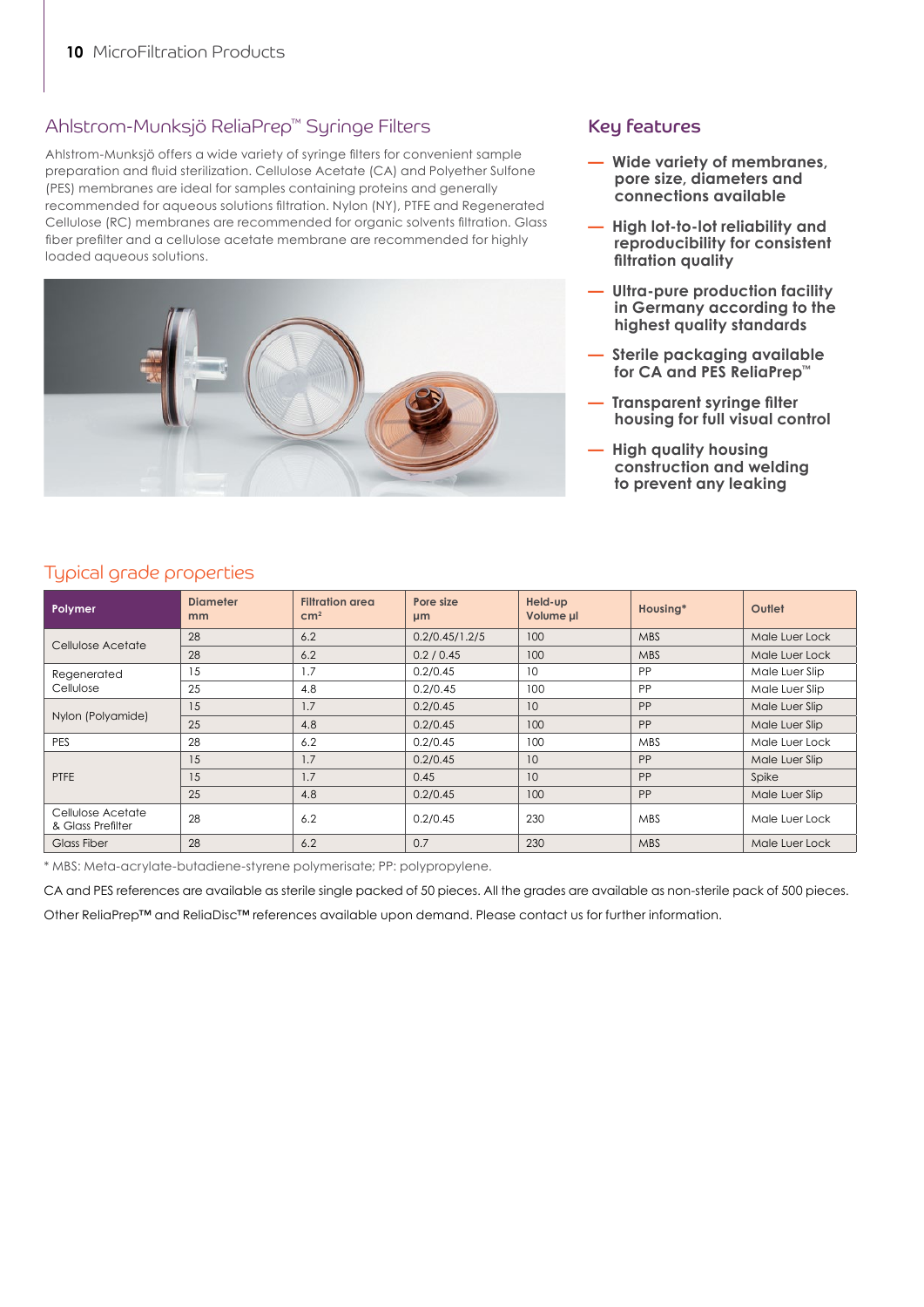#### Ahlstrom-Munksjö ReliaPrep™ Syringe Filters

Ahlstrom-Munksjö offers a wide variety of syringe filters for convenient sample preparation and fluid sterilization. Cellulose Acetate (CA) and Polyether Sulfone (PES) membranes are ideal for samples containing proteins and generally recommended for aqueous solutions filtration. Nylon (NY), PTFE and Regenerated Cellulose (RC) membranes are recommended for organic solvents filtration. Glass fiber prefilter and a cellulose acetate membrane are recommended for highly loaded aqueous solutions.



#### Key features

- **Wide variety of membranes, pore size, diameters and connections available**
- **High lot-to-lot reliability and reproducibility for consistent filtration quality**
- **Ultra-pure production facility in Germany according to the highest quality standards**
- **Sterile packaging available for CA and PES ReliaPrep™**
- **Transparent syringe filter housing for full visual control**
- **High quality housing construction and welding to prevent any leaking**

| Typical grade properties |  |
|--------------------------|--|

| Polymer                                | <b>Diameter</b><br>mm | <b>Filtration area</b><br>cm <sup>2</sup> | Pore size<br>µm | Held-up<br>Volume µl | Housing*   | Outlet         |
|----------------------------------------|-----------------------|-------------------------------------------|-----------------|----------------------|------------|----------------|
| Cellulose Acetate                      | 28                    | 6.2                                       | 0.2/0.45/1.2/5  | 100                  | <b>MBS</b> | Male Luer Lock |
|                                        | 28                    | 6.2                                       | 0.2 / 0.45      | 100                  | <b>MBS</b> | Male Luer Lock |
| Regenerated                            | 15                    | 1.7                                       | 0.2/0.45        | 10                   | PP         | Male Luer Slip |
| Cellulose                              | 25                    | 4.8                                       | 0.2/0.45        | 100                  | PP         | Male Luer Slip |
|                                        | 15                    | 1.7                                       | 0.2/0.45        | 10                   | PP         | Male Luer Slip |
| Nylon (Polyamide)                      | 25                    | 4.8                                       | 0.2/0.45        | 100                  | PP         | Male Luer Slip |
| <b>PES</b>                             | 28                    | 6.2                                       | 0.2/0.45        | 100                  | <b>MBS</b> | Male Luer Lock |
|                                        | 15                    | 1.7                                       | 0.2/0.45        | 10                   | PP         | Male Luer Slip |
| <b>PTFE</b>                            | 15                    | 1.7                                       | 0.45            | 10                   | PP         | Spike          |
|                                        | 25                    | 4.8                                       | 0.2/0.45        | 100                  | PP         | Male Luer Slip |
| Cellulose Acetate<br>& Glass Prefilter | 28                    | 6.2                                       | 0.2/0.45        | 230                  | <b>MBS</b> | Male Luer Lock |
| <b>Glass Fiber</b>                     | 28                    | 6.2                                       | 0.7             | 230                  | <b>MBS</b> | Male Luer Lock |

\* MBS: Meta-acrylate-butadiene-styrene polymerisate; PP: polypropylene.

CA and PES references are available as sterile single packed of 50 pieces. All the grades are available as non-sterile pack of 500 pieces.

Other ReliaPrep™ and ReliaDisc™ references available upon demand. Please contact us for further information.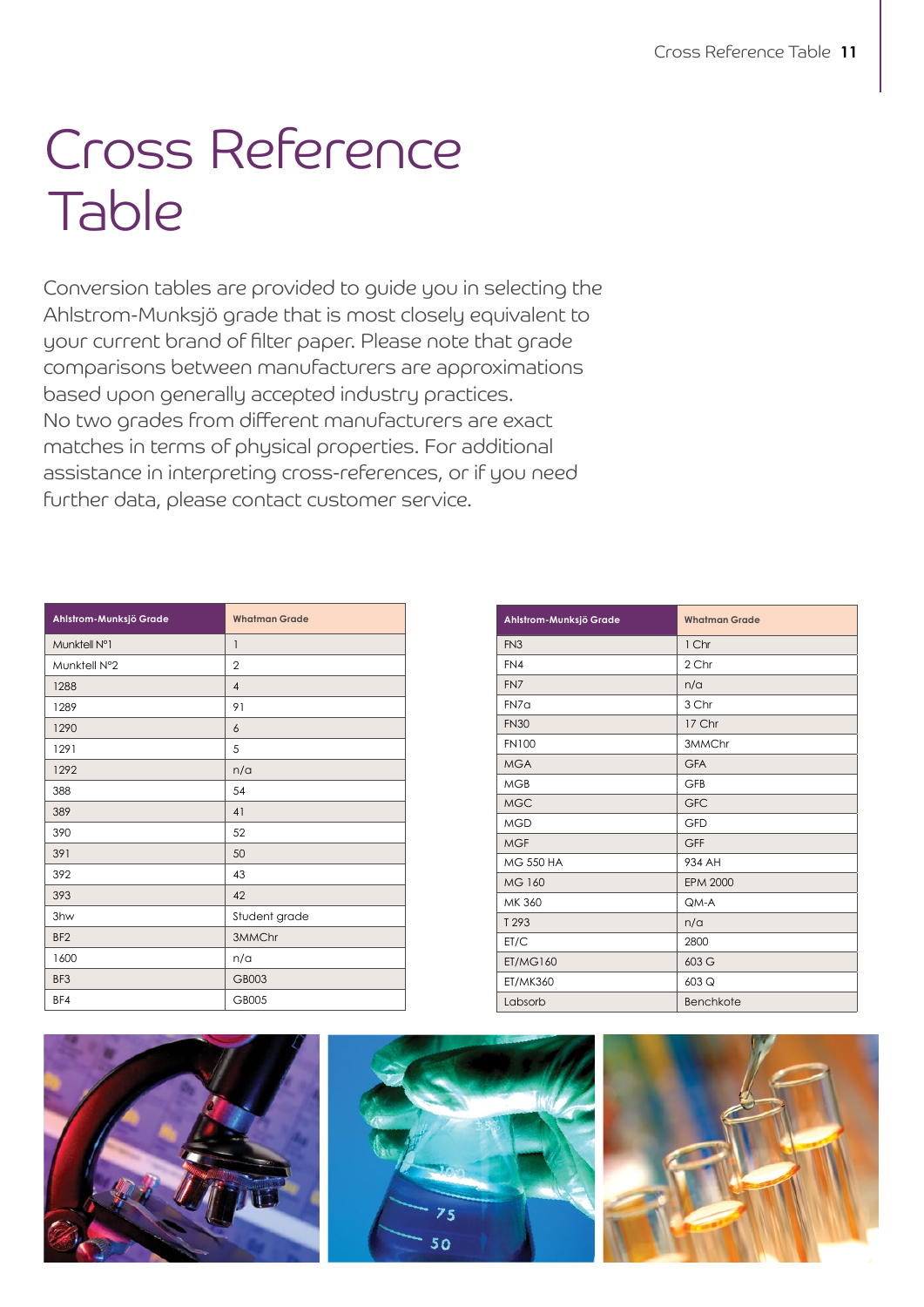## Cross Reference Table

Conversion tables are provided to guide you in selecting the Ahlstrom-Munksjö grade that is most closely equivalent to your current brand of filter paper. Please note that grade comparisons between manufacturers are approximations based upon generally accepted industry practices. No two grades from different manufacturers are exact matches in terms of physical properties. For additional assistance in interpreting cross-references, or if you need further data, please contact customer service.

| Ahlstrom-Munksjö Grade | <b>Whatman Grade</b> |
|------------------------|----------------------|
| Munktell N°1           | 1                    |
| Munktell N°2           | $\overline{2}$       |
| 1288                   | $\overline{4}$       |
| 1289                   | 91                   |
| 1290                   | 6                    |
| 1291                   | 5                    |
| 1292                   | n/a                  |
| 388                    | 54                   |
| 389                    | 41                   |
| 390                    | 52                   |
| 391                    | 50                   |
| 392                    | 43                   |
| 393                    | 42                   |
| 3hw                    | Student grade        |
| BF <sub>2</sub>        | 3MMChr               |
| 1600                   | n/a                  |
| BF3                    | GB003                |
| BF4                    | GB005                |

| Ahlstrom-Munksjö Grade | <b>Whatman Grade</b> |
|------------------------|----------------------|
| FN <sub>3</sub>        | 1 Chr                |
| FN4                    | 2 Chr                |
| FN7                    | n/a                  |
| FN7a                   | 3 Chr                |
| <b>FN30</b>            | 17 Chr               |
| <b>FN100</b>           | 3MMChr               |
| <b>MGA</b>             | <b>GFA</b>           |
| <b>MGB</b>             | <b>GFB</b>           |
| <b>MGC</b>             | <b>GFC</b>           |
| <b>MGD</b>             | <b>GFD</b>           |
| <b>MGF</b>             | <b>GFF</b>           |
| <b>MG 550 HA</b>       | 934 AH               |
| MG 160                 | <b>EPM 2000</b>      |
| MK 360                 | QM-A                 |
| T 293                  | n/a                  |
| ET/C                   | 2800                 |
| <b>ET/MG160</b>        | 603 G                |
| <b>ET/MK360</b>        | 603 Q                |
| Labsorb                | <b>Benchkote</b>     |